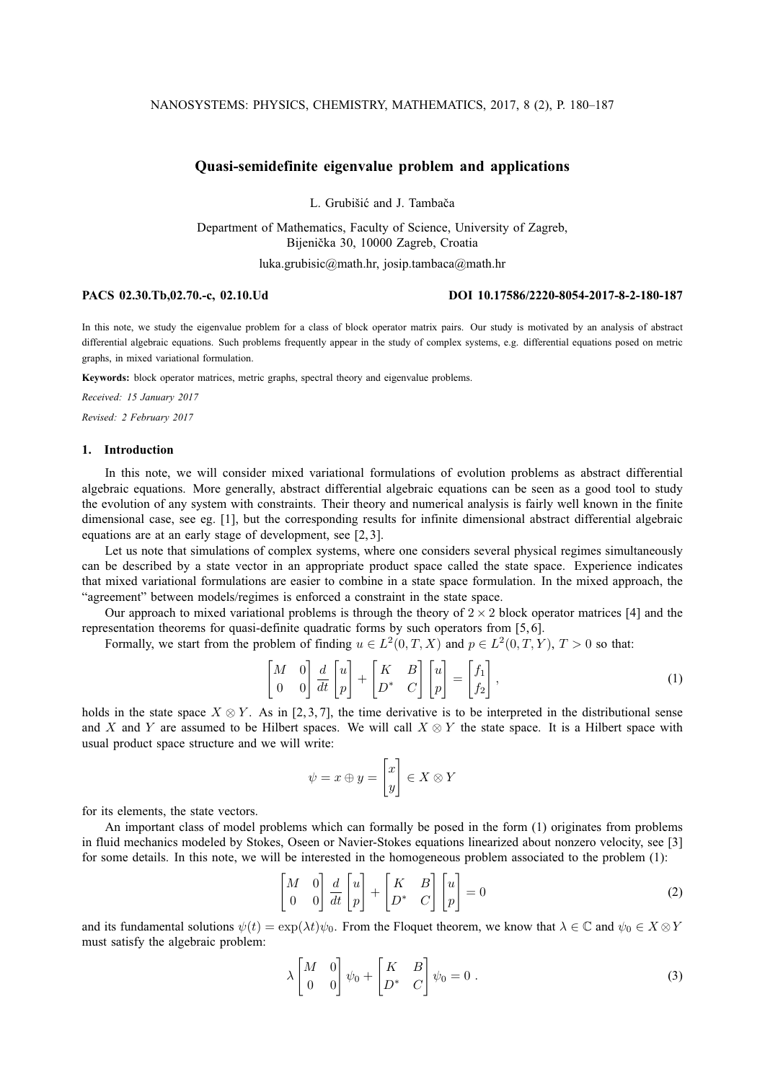# **Quasi-semidefinite eigenvalue problem and applications**

L. Grubišić and J. Tambača

Department of Mathematics, Faculty of Science, University of Zagreb, Bijenička 30, 10000 Zagreb, Croatia

luka.grubisic@math.hr, josip.tambaca@math.hr

#### **PACS 02.30.Tb,02.70.-c, 02.10.Ud DOI 10.17586/2220-8054-2017-8-2-180-187**

In this note, we study the eigenvalue problem for a class of block operator matrix pairs. Our study is motivated by an analysis of abstract differential algebraic equations. Such problems frequently appear in the study of complex systems, e.g. differential equations posed on metric graphs, in mixed variational formulation.

**Keywords:** block operator matrices, metric graphs, spectral theory and eigenvalue problems.

*Received: 15 January 2017*

*Revised: 2 February 2017*

#### **1. Introduction**

In this note, we will consider mixed variational formulations of evolution problems as abstract differential algebraic equations. More generally, abstract differential algebraic equations can be seen as a good tool to study the evolution of any system with constraints. Their theory and numerical analysis is fairly well known in the finite dimensional case, see eg. [1], but the corresponding results for infinite dimensional abstract differential algebraic equations are at an early stage of development, see [2, 3].

Let us note that simulations of complex systems, where one considers several physical regimes simultaneously can be described by a state vector in an appropriate product space called the state space. Experience indicates that mixed variational formulations are easier to combine in a state space formulation. In the mixed approach, the "agreement" between models/regimes is enforced a constraint in the state space.

Our approach to mixed variational problems is through the theory of  $2 \times 2$  block operator matrices [4] and the representation theorems for quasi-definite quadratic forms by such operators from [5, 6].

Formally, we start from the problem of finding  $u \in L^2(0,T,X)$  and  $p \in L^2(0,T,Y)$ ,  $T > 0$  so that:

$$
\begin{bmatrix} M & 0 \\ 0 & 0 \end{bmatrix} \frac{d}{dt} \begin{bmatrix} u \\ p \end{bmatrix} + \begin{bmatrix} K & B \\ D^* & C \end{bmatrix} \begin{bmatrix} u \\ p \end{bmatrix} = \begin{bmatrix} f_1 \\ f_2 \end{bmatrix},
$$
\n(1)

holds in the state space  $X \otimes Y$ . As in [2, 3, 7], the time derivative is to be interpreted in the distributional sense and X and Y are assumed to be Hilbert spaces. We will call  $X \otimes Y$  the state space. It is a Hilbert space with usual product space structure and we will write:

$$
\psi = x \oplus y = \begin{bmatrix} x \\ y \end{bmatrix} \in X \otimes Y
$$

for its elements, the state vectors.

An important class of model problems which can formally be posed in the form (1) originates from problems in fluid mechanics modeled by Stokes, Oseen or Navier-Stokes equations linearized about nonzero velocity, see [3] for some details. In this note, we will be interested in the homogeneous problem associated to the problem (1):

$$
\begin{bmatrix} M & 0 \\ 0 & 0 \end{bmatrix} \frac{d}{dt} \begin{bmatrix} u \\ p \end{bmatrix} + \begin{bmatrix} K & B \\ D^* & C \end{bmatrix} \begin{bmatrix} u \\ p \end{bmatrix} = 0
$$
 (2)

and its fundamental solutions  $\psi(t) = \exp(\lambda t)\psi_0$ . From the Floquet theorem, we know that  $\lambda \in \mathbb{C}$  and  $\psi_0 \in X \otimes Y$ must satisfy the algebraic problem:

$$
\lambda \begin{bmatrix} M & 0 \\ 0 & 0 \end{bmatrix} \psi_0 + \begin{bmatrix} K & B \\ D^* & C \end{bmatrix} \psi_0 = 0 . \tag{3}
$$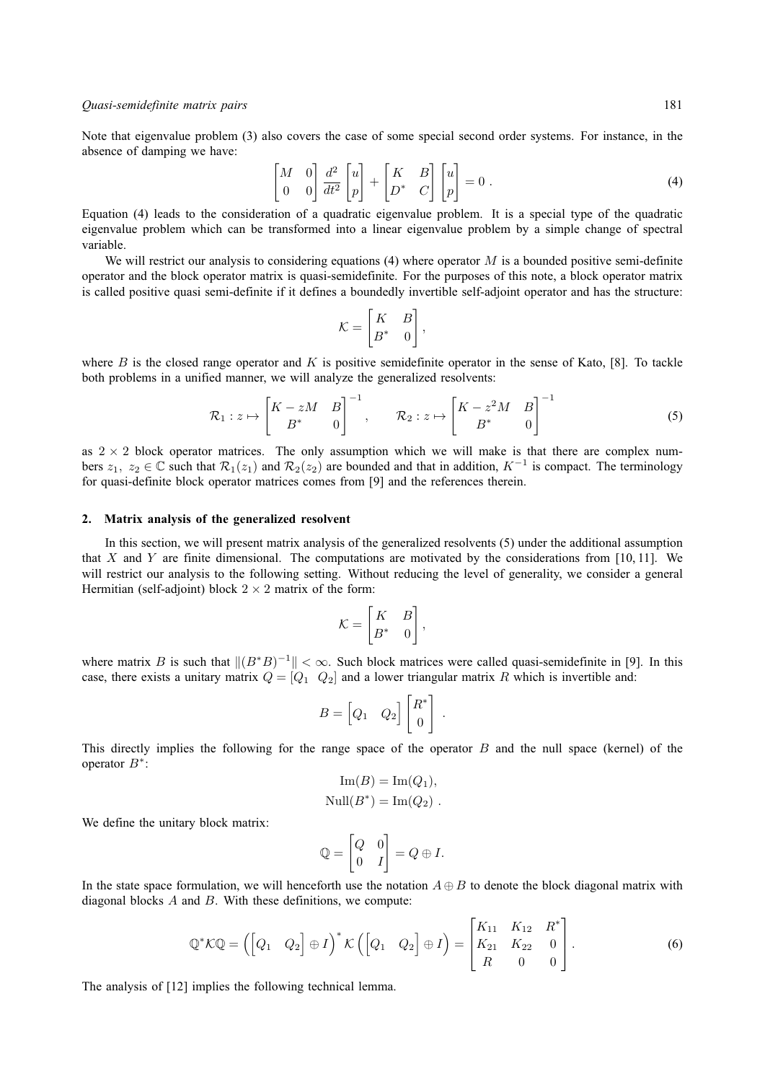#### *Quasi-semidefinite matrix pairs* 181

Note that eigenvalue problem (3) also covers the case of some special second order systems. For instance, in the absence of damping we have:

$$
\begin{bmatrix} M & 0 \\ 0 & 0 \end{bmatrix} \frac{d^2}{dt^2} \begin{bmatrix} u \\ p \end{bmatrix} + \begin{bmatrix} K & B \\ D^* & C \end{bmatrix} \begin{bmatrix} u \\ p \end{bmatrix} = 0.
$$
 (4)

Equation (4) leads to the consideration of a quadratic eigenvalue problem. It is a special type of the quadratic eigenvalue problem which can be transformed into a linear eigenvalue problem by a simple change of spectral variable.

We will restrict our analysis to considering equations (4) where operator  $M$  is a bounded positive semi-definite operator and the block operator matrix is quasi-semidefinite. For the purposes of this note, a block operator matrix is called positive quasi semi-definite if it defines a boundedly invertible self-adjoint operator and has the structure:

$$
\mathcal{K} = \begin{bmatrix} K & B \\ B^* & 0 \end{bmatrix},
$$

where B is the closed range operator and K is positive semidefinite operator in the sense of Kato, [8]. To tackle both problems in a unified manner, we will analyze the generalized resolvents:

$$
\mathcal{R}_1: z \mapsto \begin{bmatrix} K - zM & B \\ B^* & 0 \end{bmatrix}^{-1}, \qquad \mathcal{R}_2: z \mapsto \begin{bmatrix} K - z^2M & B \\ B^* & 0 \end{bmatrix}^{-1} \tag{5}
$$

as  $2 \times 2$  block operator matrices. The only assumption which we will make is that there are complex numbers  $z_1, z_2 \in \mathbb{C}$  such that  $\mathcal{R}_1(z_1)$  and  $\mathcal{R}_2(z_2)$  are bounded and that in addition,  $K^{-1}$  is compact. The terminology for quasi-definite block operator matrices comes from [9] and the references therein.

#### **2. Matrix analysis of the generalized resolvent**

In this section, we will present matrix analysis of the generalized resolvents (5) under the additional assumption that X and Y are finite dimensional. The computations are motivated by the considerations from  $[10, 11]$ . We will restrict our analysis to the following setting. Without reducing the level of generality, we consider a general Hermitian (self-adjoint) block  $2 \times 2$  matrix of the form:

$$
\mathcal{K} = \begin{bmatrix} K & B \\ B^* & 0 \end{bmatrix},
$$

where matrix B is such that  $||(B^*B)^{-1}|| < \infty$ . Such block matrices were called quasi-semidefinite in [9]. In this case, there exists a unitary matrix  $Q = [Q_1 \ Q_2]$  and a lower triangular matrix R which is invertible and:

$$
B = \begin{bmatrix} Q_1 & Q_2 \end{bmatrix} \begin{bmatrix} R^* \\ 0 \end{bmatrix}.
$$

This directly implies the following for the range space of the operator  $B$  and the null space (kernel) of the operator  $B^*$ :

$$
\text{Im}(B) = \text{Im}(Q_1),
$$
  
\n
$$
\text{Null}(B^*) = \text{Im}(Q_2).
$$

We define the unitary block matrix:

$$
\mathbb{Q} = \begin{bmatrix} Q & 0 \\ 0 & I \end{bmatrix} = Q \oplus I.
$$

In the state space formulation, we will henceforth use the notation  $A \oplus B$  to denote the block diagonal matrix with diagonal blocks A and B. With these definitions, we compute:

$$
\mathbb{Q}^*\mathcal{K}\mathbb{Q} = \left( \begin{bmatrix} Q_1 & Q_2 \end{bmatrix} \oplus I \right)^* \mathcal{K} \left( \begin{bmatrix} Q_1 & Q_2 \end{bmatrix} \oplus I \right) = \begin{bmatrix} K_{11} & K_{12} & R^* \\ K_{21} & K_{22} & 0 \\ R & 0 & 0 \end{bmatrix} . \tag{6}
$$

r.

The analysis of [12] implies the following technical lemma.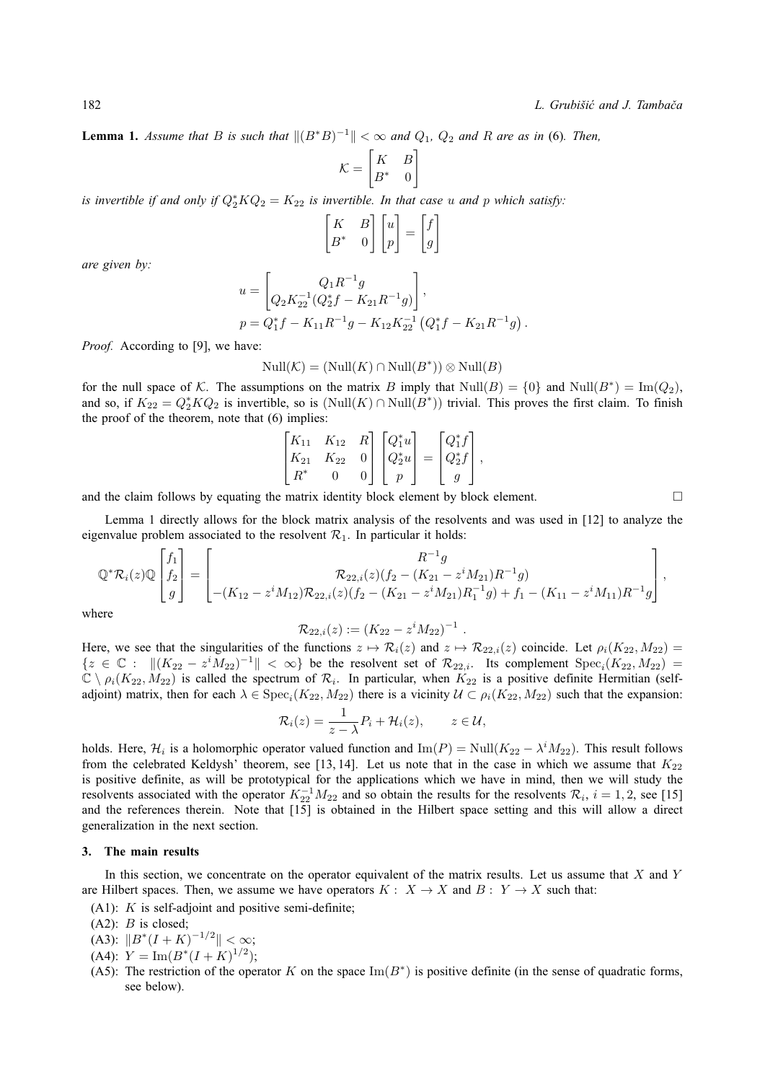**Lemma 1.** *Assume that* B *is such that*  $||(B^*B)^{-1}|| < \infty$  *and*  $Q_1$ *,*  $Q_2$  *and* R *are as in* (6)*. Then,* 

$$
\mathcal{K} = \begin{bmatrix} K & B \\ B^* & 0 \end{bmatrix}
$$

*is invertible if and only if*  $Q_2^*KQ_2 = K_{22}$  *is invertible. In that case u and p which satisfy:* 

$$
\begin{bmatrix} K & B \\ B^* & 0 \end{bmatrix} \begin{bmatrix} u \\ p \end{bmatrix} = \begin{bmatrix} f \\ g \end{bmatrix}
$$

*are given by:*

$$
u = \begin{bmatrix} Q_1 R^{-1} g \\ Q_2 K_{22}^{-1} (Q_2^* f - K_{21} R^{-1} g) \end{bmatrix},
$$
  
\n
$$
p = Q_1^* f - K_{11} R^{-1} g - K_{12} K_{22}^{-1} (Q_1^* f - K_{21} R^{-1} g).
$$

*Proof.* According to [9], we have:

$$
\text{Null}(\mathcal{K}) = (\text{Null}(K) \cap \text{Null}(B^*)) \otimes \text{Null}(B)
$$

for the null space of K. The assumptions on the matrix B imply that  $Null(B) = \{0\}$  and  $Null(B^*) = Im(Q_2)$ , and so, if  $K_{22} = Q_2^* K Q_2$  is invertible, so is  $(Null(K) \cap Null(B^*))$  trivial. This proves the first claim. To finish the proof of the theorem, note that (6) implies:

$$
\begin{bmatrix} K_{11} & K_{12} & R \ K_{21} & K_{22} & 0 \ R^* & 0 & 0 \end{bmatrix} \begin{bmatrix} Q_1^* u \\ Q_2^* u \\ p \end{bmatrix} = \begin{bmatrix} Q_1^* f \\ Q_2^* f \\ g \end{bmatrix},
$$

and the claim follows by equating the matrix identity block element by block element.  $\Box$ 

Lemma 1 directly allows for the block matrix analysis of the resolvents and was used in [12] to analyze the eigenvalue problem associated to the resolvent  $\mathcal{R}_1$ . In particular it holds:

$$
\mathbb{Q}^*\mathcal{R}_i(z)\mathbb{Q}\begin{bmatrix} f_1 \\ f_2 \\ g \end{bmatrix} = \begin{bmatrix} R^{-1}g \\ \mathcal{R}_{22,i}(z)(f_2 - (K_{21} - z^iM_{21})R^{-1}g) \\ -(K_{12} - z^iM_{12})\mathcal{R}_{22,i}(z)(f_2 - (K_{21} - z^iM_{21})R_1^{-1}g) + f_1 - (K_{11} - z^iM_{11})R^{-1}g \end{bmatrix},
$$

where

$$
\mathcal{R}_{22,i}(z) := (K_{22} - z^i M_{22})^{-1} .
$$

Here, we see that the singularities of the functions  $z \mapsto \mathcal{R}_i(z)$  and  $z \mapsto \mathcal{R}_{22,i}(z)$  coincide. Let  $\rho_i(K_{22}, M_{22}) =$  ${z \in \mathbb{C} : \| (K_{22} - z^i M_{22})^{-1} \| < \infty}$  be the resolvent set of  $\mathcal{R}_{22,i}$ . Its complement  $\text{Spec}_i(K_{22}, M_{22}) =$  $\mathbb{C} \setminus \rho_i(K_{22}, M_{22})$  is called the spectrum of  $\mathcal{R}_i$ . In particular, when  $K_{22}$  is a positive definite Hermitian (selfadjoint) matrix, then for each  $\lambda \in \text{Spec}_i(K_{22}, M_{22})$  there is a vicinity  $\mathcal{U} \subset \rho_i(K_{22}, M_{22})$  such that the expansion:

$$
\mathcal{R}_i(z) = \frac{1}{z - \lambda} P_i + \mathcal{H}_i(z), \qquad z \in \mathcal{U},
$$

holds. Here,  $\mathcal{H}_i$  is a holomorphic operator valued function and  $\text{Im}(P) = \text{Null}(K_{22} - \lambda^i M_{22})$ . This result follows from the celebrated Keldysh' theorem, see [13, 14]. Let us note that in the case in which we assume that  $K_{22}$ is positive definite, as will be prototypical for the applications which we have in mind, then we will study the resolvents associated with the operator  $K_{22}^{-1}M_{22}$  and so obtain the results for the resolvents  $\mathcal{R}_i$ ,  $i = 1, 2$ , see [15] and the references therein. Note that  $\lfloor 15 \rfloor$  is obtained in the Hilbert space setting and this will allow a direct generalization in the next section.

## **3. The main results**

In this section, we concentrate on the operator equivalent of the matrix results. Let us assume that  $X$  and  $Y$ are Hilbert spaces. Then, we assume we have operators  $K: X \to X$  and  $B: Y \to X$  such that:

- $(A1)$ : K is self-adjoint and positive semi-definite;
- $(A2)$ : *B* is closed;
- (A3):  $||B^*(I + K)^{-1/2}|| < \infty;$
- (A4):  $Y = \text{Im}(B^*(I + K)^{1/2});$
- (A5): The restriction of the operator K on the space  $\text{Im}(B^*)$  is positive definite (in the sense of quadratic forms, see below).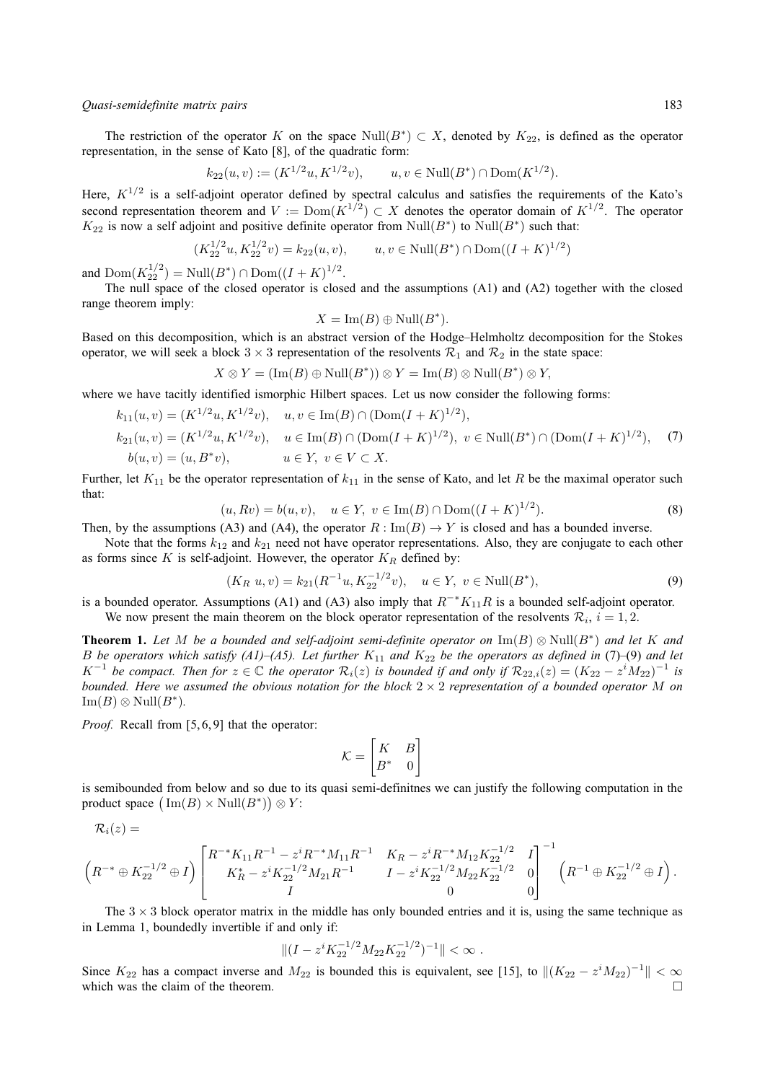#### *Quasi-semidefinite matrix pairs* 183

The restriction of the operator K on the space  $Null(B^*) \subset X$ , denoted by  $K_{22}$ , is defined as the operator representation, in the sense of Kato [8], of the quadratic form:

$$
k_{22}(u, v) := (K^{1/2}u, K^{1/2}v), \qquad u, v \in \text{Null}(B^*) \cap \text{Dom}(K^{1/2}).
$$

Here,  $K^{1/2}$  is a self-adjoint operator defined by spectral calculus and satisfies the requirements of the Kato's second representation theorem and  $V := \text{Dom}(K^{1/2}) \subset X$  denotes the operator domain of  $K^{1/2}$ . The operator  $K_{22}$  is now a self adjoint and positive definite operator from Null( $B^*$ ) to Null( $B^*$ ) such that:

$$
(K_{22}^{1/2}u, K_{22}^{1/2}v) = k_{22}(u, v), \qquad u, v \in \text{Null}(B^*) \cap \text{Dom}((I + K)^{1/2})
$$

and  $\text{Dom}(K_{22}^{1/2}) = \text{Null}(B^*) \cap \text{Dom}((I + K)^{1/2})$ .

The null space of the closed operator is closed and the assumptions (A1) and (A2) together with the closed range theorem imply:

$$
X = \operatorname{Im}(B) \oplus \operatorname{Null}(B^*).
$$

Based on this decomposition, which is an abstract version of the Hodge–Helmholtz decomposition for the Stokes operator, we will seek a block  $3 \times 3$  representation of the resolvents  $\mathcal{R}_1$  and  $\mathcal{R}_2$  in the state space:

$$
X \otimes Y = (\text{Im}(B) \oplus \text{Null}(B^*)) \otimes Y = \text{Im}(B) \otimes \text{Null}(B^*) \otimes Y,
$$

where we have tacitly identified ismorphic Hilbert spaces. Let us now consider the following forms:

$$
k_{11}(u, v) = (K^{1/2}u, K^{1/2}v), \quad u, v \in \text{Im}(B) \cap (\text{Dom}(I + K)^{1/2}),
$$
  
\n
$$
k_{21}(u, v) = (K^{1/2}u, K^{1/2}v), \quad u \in \text{Im}(B) \cap (\text{Dom}(I + K)^{1/2}), \quad v \in \text{Null}(B^*) \cap (\text{Dom}(I + K)^{1/2}), \quad (7)
$$
  
\n
$$
b(u, v) = (u, B^*v), \quad u \in Y, \quad v \in V \subset X.
$$

Further, let  $K_{11}$  be the operator representation of  $k_{11}$  in the sense of Kato, and let R be the maximal operator such that:

$$
(u, Rv) = b(u, v), \quad u \in Y, \ v \in \text{Im}(B) \cap \text{Dom}((I + K)^{1/2}). \tag{8}
$$

Then, by the assumptions (A3) and (A4), the operator  $R: \text{Im}(B) \to Y$  is closed and has a bounded inverse.

Note that the forms  $k_{12}$  and  $k_{21}$  need not have operator representations. Also, they are conjugate to each other as forms since K is self-adjoint. However, the operator  $K_R$  defined by:

$$
(K_R \ u, v) = k_{21}(R^{-1}u, K_{22}^{-1/2}v), \quad u \in Y, \ v \in \text{Null}(B^*),
$$
\n<sup>(9)</sup>

is a bounded operator. Assumptions (A1) and (A3) also imply that  $R^{-*}K_{11}R$  is a bounded self-adjoint operator. We now present the main theorem on the block operator representation of the resolvents  $\mathcal{R}_i$ ,  $i = 1, 2$ .

**Theorem 1.** Let M be a bounded and self-adjoint semi-definite operator on  $\text{Im}(B) \otimes \text{Null}(B^*)$  and let K and B *be operators which satisfy (A1)–(A5). Let further*  $K_{11}$  *and*  $K_{22}$  *be the operators as defined in* (7)–(9) *and let*  $K^{-1}$  be compact. Then for  $z \in \mathbb{C}$  the operator  $\mathcal{R}_i(z)$  is bounded if and only if  $\mathcal{R}_{22,i}(z) = (K_{22} - z^i M_{22})^{-1}$  is *bounded. Here we assumed the obvious notation for the block* 2 × 2 *representation of a bounded operator* M *on*  $\text{Im}(B) \otimes \text{Null}(B^*).$ 

*Proof.* Recall from [5,6,9] that the operator:

$$
\mathcal{K} = \begin{bmatrix} K & B \\ B^* & 0 \end{bmatrix}
$$

is semibounded from below and so due to its quasi semi-definitnes we can justify the following computation in the product space  $\left(\text{Im}(B) \times \text{Null}(B^*)\right) \otimes Y$ :

$$
\mathcal{R}_i(z) =
$$

$$
\left(R^{-*}\oplus K_{22}^{-1/2}\oplus I\right)\begin{bmatrix}R^{-*}K_{11}R^{-1}-z^{i}R^{-*}M_{11}R^{-1} & K_R-z^{i}R^{-*}M_{12}K_{22}^{-1/2} & I\\K_R^*-z^{i}K_{22}^{-1/2}M_{21}R^{-1} & I-z^{i}K_{22}^{-1/2}M_{22}K_{22}^{-1/2} & 0\\I& I& 0 & 0\end{bmatrix}^{-1}\left(R^{-1}\oplus K_{22}^{-1/2}\oplus I\right).
$$

The  $3 \times 3$  block operator matrix in the middle has only bounded entries and it is, using the same technique as in Lemma 1, boundedly invertible if and only if:

$$
||(I - ziK_{22}^{-1/2}M_{22}K_{22}^{-1/2})^{-1}|| < \infty.
$$

Since  $K_{22}$  has a compact inverse and  $M_{22}$  is bounded this is equivalent, see [15], to  $\|(K_{22} - z^i M_{22})^{-1}\| < \infty$ which was the claim of the theorem.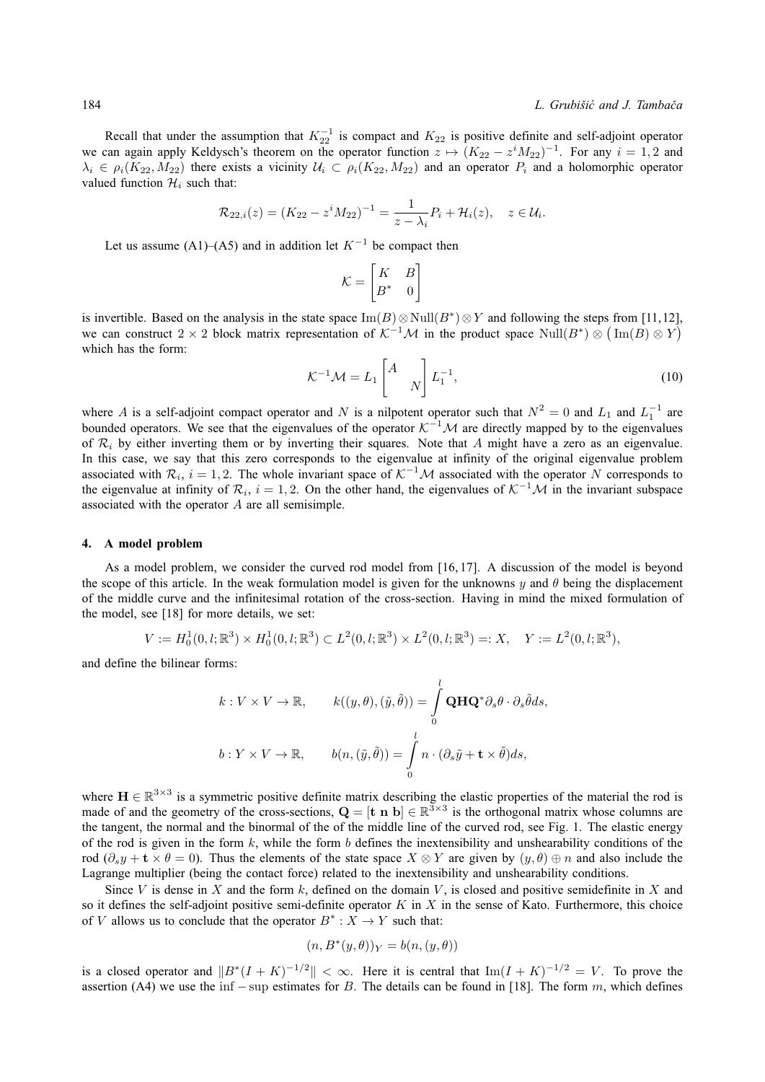Recall that under the assumption that  $K_{22}^{-1}$  is compact and  $K_{22}$  is positive definite and self-adjoint operator we can again apply Keldysch's theorem on the operator function  $z \mapsto (K_{22} - z^i M_{22})^{-1}$ . For any  $i = 1, 2$  and  $\lambda_i \in \rho_i(K_{22}, M_{22})$  there exists a vicinity  $\mathcal{U}_i \subset \rho_i(K_{22}, M_{22})$  and an operator  $P_i$  and a holomorphic operator valued function  $\mathcal{H}_i$  such that:

$$
\mathcal{R}_{22,i}(z) = (K_{22} - z^i M_{22})^{-1} = \frac{1}{z - \lambda_i} P_i + \mathcal{H}_i(z), \quad z \in \mathcal{U}_i.
$$

Let us assume (A1)–(A5) and in addition let  $K^{-1}$  be compact then

$$
\mathcal{K} = \begin{bmatrix} K & B \\ B^* & 0 \end{bmatrix}
$$

is invertible. Based on the analysis in the state space  $\text{Im}(B) \otimes \text{Null}(B^*) \otimes Y$  and following the steps from [11,12], we can construct 2 × 2 block matrix representation of  $K^{-1}M$  in the product space Null $(B^*)\otimes(\text{Im}(B)\otimes Y)$ which has the form:

$$
\mathcal{K}^{-1}\mathcal{M} = L_1 \begin{bmatrix} A \\ N \end{bmatrix} L_1^{-1},\tag{10}
$$

where A is a self-adjoint compact operator and N is a nilpotent operator such that  $N^2 = 0$  and  $L_1$  and  $L_1^{-1}$  are bounded operators. We see that the eigenvalues of the operator  $K^{-1}M$  are directly mapped by to the eigenvalues of  $\mathcal{R}_i$  by either inverting them or by inverting their squares. Note that A might have a zero as an eigenvalue. In this case, we say that this zero corresponds to the eigenvalue at infinity of the original eigenvalue problem associated with  $\mathcal{R}_i$ ,  $i = 1, 2$ . The whole invariant space of  $\mathcal{K}^{-1}M$  associated with the operator N corresponds to the eigenvalue at infinity of  $\mathcal{R}_i$ ,  $i = 1, 2$ . On the other hand, the eigenvalues of  $\mathcal{K}^{-1}M$  in the invariant subspace associated with the operator A are all semisimple.

#### **4. A model problem**

As a model problem, we consider the curved rod model from [16, 17]. A discussion of the model is beyond the scope of this article. In the weak formulation model is given for the unknowns y and  $\theta$  being the displacement of the middle curve and the infinitesimal rotation of the cross-section. Having in mind the mixed formulation of the model, see [18] for more details, we set:

$$
V := H_0^1(0, l; \mathbb{R}^3) \times H_0^1(0, l; \mathbb{R}^3) \subset L^2(0, l; \mathbb{R}^3) \times L^2(0, l; \mathbb{R}^3) =: X, \quad Y := L^2(0, l; \mathbb{R}^3),
$$

and define the bilinear forms:

$$
k: V \times V \to \mathbb{R}, \qquad k((y, \theta), (\tilde{y}, \tilde{\theta})) = \int_{0}^{l} \mathbf{Q} \mathbf{H} \mathbf{Q}^{*} \partial_{s} \theta \cdot \partial_{s} \tilde{\theta} ds,
$$

$$
b: Y \times V \to \mathbb{R}, \qquad b(n, (\tilde{y}, \tilde{\theta})) = \int_{0}^{l} n \cdot (\partial_{s} \tilde{y} + \mathbf{t} \times \tilde{\theta}) ds,
$$

where  $H \in \mathbb{R}^{3 \times 3}$  is a symmetric positive definite matrix describing the elastic properties of the material the rod is made of and the geometry of the cross-sections,  $\mathbf{Q} = [\mathbf{t} \; \mathbf{n} \; \mathbf{b}] \in \mathbb{R}^{\bar{3} \times 3}$  is the orthogonal matrix whose columns are the tangent, the normal and the binormal of the of the middle line of the curved rod, see Fig. 1. The elastic energy of the rod is given in the form  $k$ , while the form b defines the inextensibility and unshearability conditions of the rod  $(\partial_s y + t \times \theta = 0)$ . Thus the elements of the state space  $X \otimes Y$  are given by  $(y, \theta) \oplus n$  and also include the Lagrange multiplier (being the contact force) related to the inextensibility and unshearability conditions.

Since V is dense in X and the form k, defined on the domain V, is closed and positive semidefinite in X and so it defines the self-adjoint positive semi-definite operator  $K$  in  $X$  in the sense of Kato. Furthermore, this choice of V allows us to conclude that the operator  $B^* : X \to Y$  such that:

$$
(n, B^*(y, \theta))_Y = b(n, (y, \theta))
$$

is a closed operator and  $||B^*(I + K)^{-1/2}|| < \infty$ . Here it is central that  $\text{Im}(I + K)^{-1/2} = V$ . To prove the assertion (A4) we use the inf  $-$  sup estimates for B. The details can be found in [18]. The form m, which defines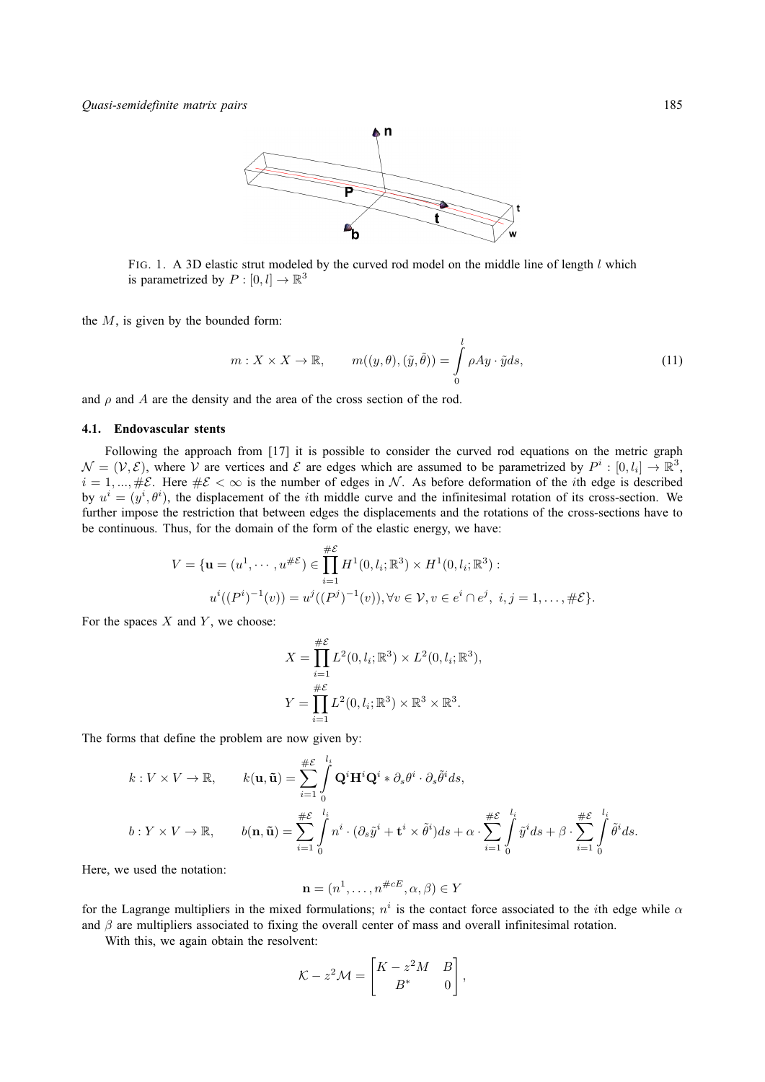

FIG. 1. A 3D elastic strut modeled by the curved rod model on the middle line of length  $l$  which is parametrized by  $P : [0, l] \to \mathbb{R}^3$ 

the  $M$ , is given by the bounded form:

$$
m: X \times X \to \mathbb{R}, \qquad m((y, \theta), (\tilde{y}, \tilde{\theta})) = \int_{0}^{l} \rho A y \cdot \tilde{y} ds,
$$
\n(11)

and  $\rho$  and A are the density and the area of the cross section of the rod.

## **4.1. Endovascular stents**

Following the approach from [17] it is possible to consider the curved rod equations on the metric graph  $\mathcal{N} = (\mathcal{V}, \mathcal{E})$ , where  $\mathcal{V}$  are vertices and  $\mathcal{E}$  are edges which are assumed to be parametrized by  $P^i : [0, l_i] \to \mathbb{R}^3$ ,  $i = 1, ..., \#E$ . Here  $\#E < \infty$  is the number of edges in N. As before deformation of the *i*th edge is described by  $u^i = (y^i, \theta^i)$ , the displacement of the *i*th middle curve and the infinitesimal rotation of its cross-section. We further impose the restriction that between edges the displacements and the rotations of the cross-sections have to be continuous. Thus, for the domain of the form of the elastic energy, we have:

$$
V = \{ \mathbf{u} = (u^1, \cdots, u^{\# \mathcal{E}}) \in \prod_{i=1}^{\# \mathcal{E}} H^1(0, l_i; \mathbb{R}^3) \times H^1(0, l_i; \mathbb{R}^3) :
$$
  

$$
u^i((P^i)^{-1}(v)) = u^j((P^j)^{-1}(v)), \forall v \in \mathcal{V}, v \in e^i \cap e^j, i, j = 1, ..., \# \mathcal{E} \}.
$$

For the spaces  $X$  and  $Y$ , we choose:

$$
X = \prod_{i=1}^{\#E} L^2(0, l_i; \mathbb{R}^3) \times L^2(0, l_i; \mathbb{R}^3),
$$
  

$$
Y = \prod_{i=1}^{\#E} L^2(0, l_i; \mathbb{R}^3) \times \mathbb{R}^3 \times \mathbb{R}^3.
$$

The forms that define the problem are now given by:

$$
k: V \times V \to \mathbb{R}, \qquad k(\mathbf{u}, \tilde{\mathbf{u}}) = \sum_{i=1}^{\#\mathcal{E}} \int_{0}^{l_i} \mathbf{Q}^i \mathbf{H}^i \mathbf{Q}^i * \partial_s \theta^i \cdot \partial_s \tilde{\theta}^i ds,
$$
  

$$
b: Y \times V \to \mathbb{R}, \qquad b(\mathbf{n}, \tilde{\mathbf{u}}) = \sum_{i=1}^{\#\mathcal{E}} \int_{0}^{l_i} n^i \cdot (\partial_s \tilde{y}^i + \mathbf{t}^i \times \tilde{\theta}^i) ds + \alpha \cdot \sum_{i=1}^{\#\mathcal{E}} \int_{0}^{l_i} \tilde{y}^i ds + \beta \cdot \sum_{i=1}^{\#\mathcal{E}} \int_{0}^{l_i} \tilde{\theta}^i ds.
$$

Here, we used the notation:

$$
\mathbf{n} = (n^1, \dots, n^{\#cE}, \alpha, \beta) \in Y
$$

for the Lagrange multipliers in the mixed formulations;  $n^i$  is the contact force associated to the *i*th edge while  $\alpha$ and  $\beta$  are multipliers associated to fixing the overall center of mass and overall infinitesimal rotation.

With this, we again obtain the resolvent:

$$
\mathcal{K} - z^2 \mathcal{M} = \begin{bmatrix} K - z^2 M & B \\ B^* & 0 \end{bmatrix},
$$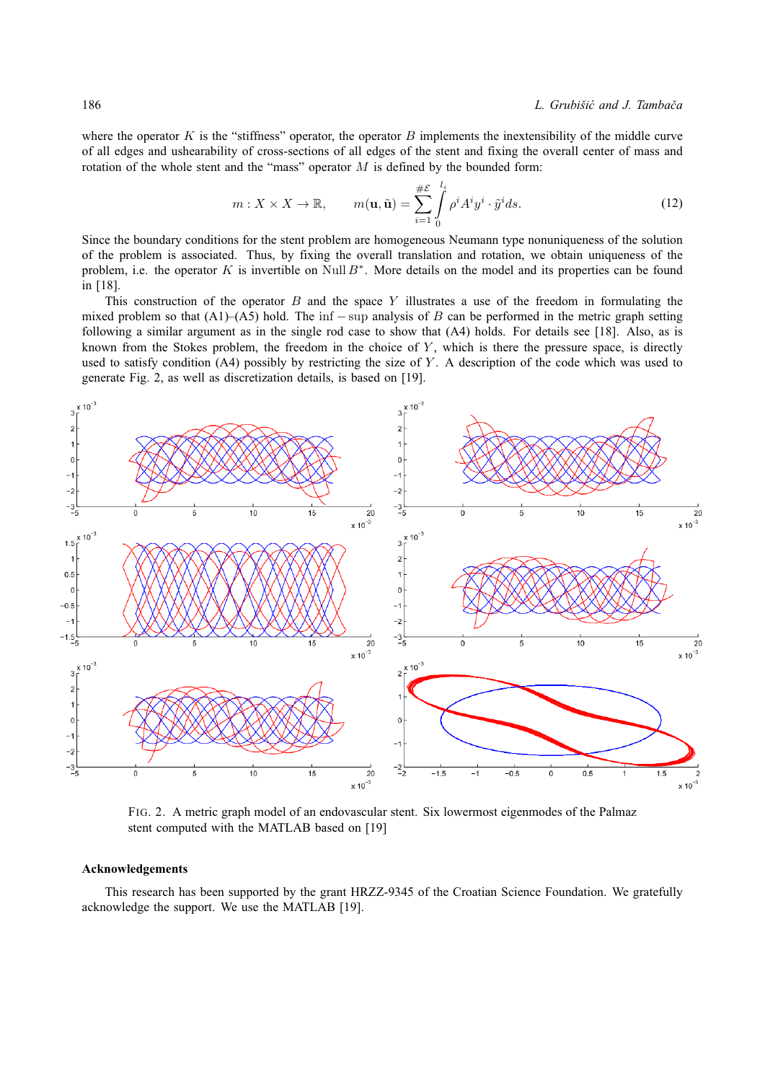where the operator K is the "stiffness" operator, the operator B implements the inextensibility of the middle curve of all edges and ushearability of cross-sections of all edges of the stent and fixing the overall center of mass and rotation of the whole stent and the "mass" operator  $M$  is defined by the bounded form:

$$
m: X \times X \to \mathbb{R}, \qquad m(\mathbf{u}, \tilde{\mathbf{u}}) = \sum_{i=1}^{\# \mathcal{E}} \int_{0}^{l_i} \rho^i A^i y^i \cdot \tilde{y}^i ds. \tag{12}
$$

Since the boundary conditions for the stent problem are homogeneous Neumann type nonuniqueness of the solution of the problem is associated. Thus, by fixing the overall translation and rotation, we obtain uniqueness of the problem, i.e. the operator  $K$  is invertible on Null  $B^*$ . More details on the model and its properties can be found in [18].

This construction of the operator  $B$  and the space  $Y$  illustrates a use of the freedom in formulating the mixed problem so that  $(A1)$ – $(A5)$  hold. The inf – sup analysis of B can be performed in the metric graph setting following a similar argument as in the single rod case to show that (A4) holds. For details see [18]. Also, as is known from the Stokes problem, the freedom in the choice of  $Y$ , which is there the pressure space, is directly used to satisfy condition (A4) possibly by restricting the size of Y . A description of the code which was used to generate Fig. 2, as well as discretization details, is based on [19].



FIG. 2. A metric graph model of an endovascular stent. Six lowermost eigenmodes of the Palmaz stent computed with the MATLAB based on [19]

## **Acknowledgements**

This research has been supported by the grant HRZZ-9345 of the Croatian Science Foundation. We gratefully acknowledge the support. We use the MATLAB [19].